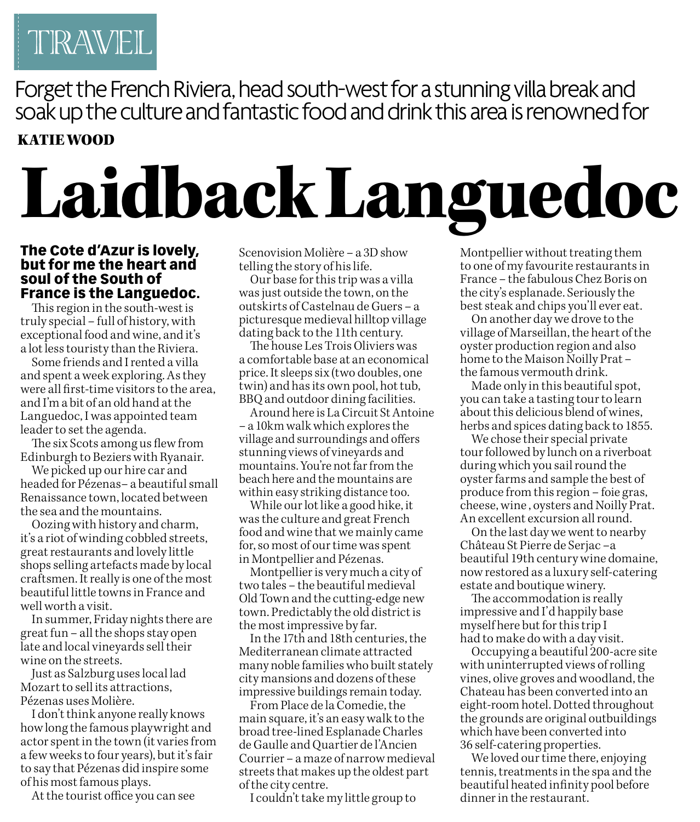

Forget the French Riviera, head south-west for a stunning villa break and soak up the culture and fantastic food and drink this area is renowned for KATIE WOOD

## Laidback Languedoc

## **The Cote d'Azur is lovely, but for me the heart and soul of the South of France is the Languedoc.**

This region in the south-west is truly special – full of history, with exceptional food and wine, and it's a lot less touristy than the Riviera.

Some friends and I rented a villa and spent a week exploring. As they were all first-time visitors to the area, and I'm a bit of an old hand at the Languedoc, I was appointed team leader to set the agenda.

The six Scots among us flew from Edinburgh to Beziers with Ryanair.

We picked up our hire car and headed for Pézenas– a beautiful small Renaissance town, located between the sea and the mountains.

Oozing with history and charm, it's a riot of winding cobbled streets, great restaurants and lovely little shops selling artefacts made by local craftsmen. It really is one of the most beautiful little towns in France and well worth a visit.

In summer, Friday nights there are great fun – all the shops stay open late and local vineyards sell their wine on the streets.

Just as Salzburg uses local lad Mozart to sell its attractions, Pézenas uses Molière.

I don't think anyone really knows how long the famous playwright and actor spent in the town (it varies from a few weeks to four years), but it's fair to say that Pézenas did inspire some of his most famous plays.

At the tourist office you can see

Scenovision Molière – a 3D show telling the story of his life.

Our base for this trip was a villa was just outside the town, on the outskirts of Castelnau de Guers – a picturesque medieval hilltop village dating back to the 11th century.

The house Les Trois Oliviers was a comfortable base at an economical price. It sleeps six (two doubles, one twin) and has its own pool, hot tub, BBQ and outdoor dining facilities.

Around here is La Circuit St Antoine – a 10km walk which explores the village and surroundings and offers stunning views of vineyards and mountains. You're not far from the beach here and the mountains are within easy striking distance too.

While our lot like a good hike, it was the culture and great French food and wine that we mainly came for, so most of our time was spent in Montpellier and Pézenas.

Montpellier is very much a city of two tales – the beautiful medieval Old Town and the cutting-edge new town. Predictably the old district is the most impressive by far.

In the 17th and 18th centuries, the Mediterranean climate attracted many noble families who built stately city mansions and dozens of these impressive buildings remain today.

From Place de la Comedie, the main square, it's an easy walk to the broad tree-lined Esplanade Charles de Gaulle and Quartier de l'Ancien Courrier – a maze of narrow medieval streets that makes up the oldest part of the city centre.

I couldn't take my little group to

Montpellier without treating them to one of my favourite restaurants in France – the fabulous Chez Boris on the city's esplanade. Seriously the best steak and chips you'll ever eat.

On another day we drove to the village of Marseillan, the heart of the oyster production region and also home to the Maison Noilly Prat – the famous vermouth drink.

Made only in this beautiful spot, you can take a tasting tour to learn about this delicious blend of wines, herbs and spices dating back to 1855.

We chose their special private tour followed by lunch on a riverboat during which you sail round the oyster farms and sample the best of produce from this region – foie gras, cheese, wine , oysters and Noilly Prat. An excellent excursion all round.

On the last day we went to nearby Château St Pierre de Serjac –a beautiful 19th century wine domaine, now restored as a luxury self-catering estate and boutique winery.

The accommodation is really impressive and I'd happily base myself here but for this trip I had to make do with a day visit.

Occupying a beautiful 200-acre site with uninterrupted views of rolling vines, olive groves and woodland, the Chateau has been converted into an eight-room hotel. Dotted throughout the grounds are original outbuildings which have been converted into 36 self-catering properties.

We loved our time there, enjoying tennis, treatments in the spa and the beautiful heated infinity pool before dinner in the restaurant.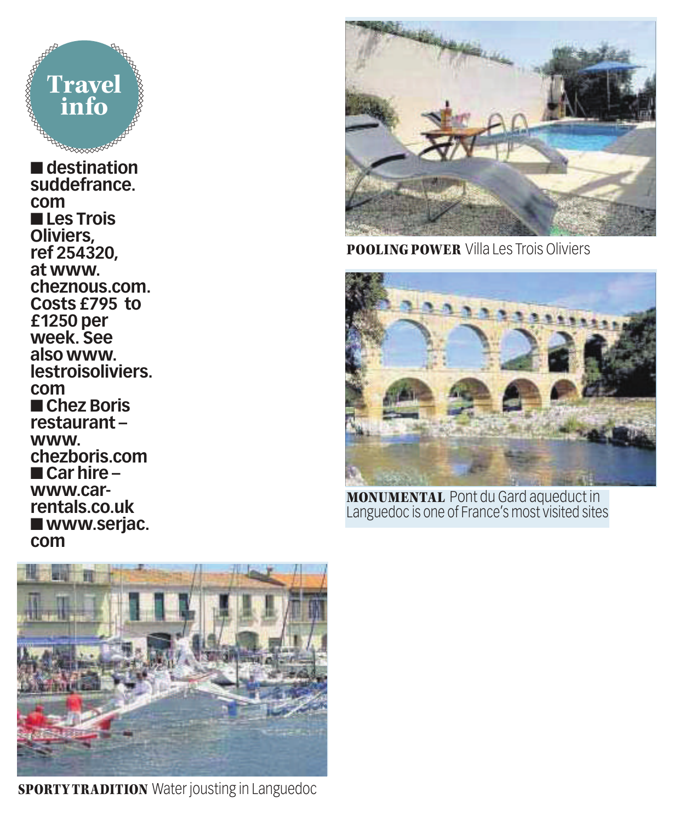

■ **destination suddefrance. com** ■ **Les Trois Oliviers, ref 254320, at www. cheznous.com. Costs £795 to £1250 per week. See also www. lestroisoliviers. com** ■ **Chez Boris restaurant – www. chezboris.com** ■ **Car hire – www.carrentals.co.uk** ■ **www.serjac. com**



POOLING POWER Villa Les Trois Oliviers



MONUMENTAL Pont du Gard aqueduct in Languedoc is one of France's most visited sites



**SPORTY TRADITION** Water jousting in Languedoc